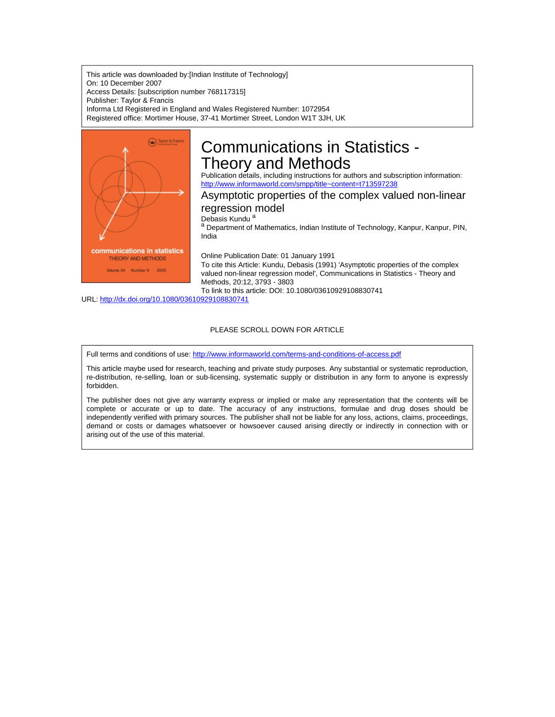This article was downloaded by:[Indian Institute of Technology] On: 10 December 2007 Access Details: [subscription number 768117315] Publisher: Taylor & Francis Informa Ltd Registered in England and Wales Registered Number: 1072954 Registered office: Mortimer House, 37-41 Mortimer Street, London W1T 3JH, UK



# Communications in Statistics - Theory and Methods

Publication details, including instructions for authors and subscription information: <http://www.informaworld.com/smpp/title~content=t713597238>

## Asymptotic properties of the complex valued non-linear

regression model

Debasis Kundu<sup>a</sup>

a Department of Mathematics, Indian Institute of Technology, Kanpur, Kanpur, PIN, India

Online Publication Date: 01 January 1991

To cite this Article: Kundu, Debasis (1991) 'Asymptotic properties of the complex valued non-linear regression model', Communications in Statistics - Theory and Methods, 20:12, 3793 - 3803

To link to this article: DOI: 10.1080/03610929108830741

URL: <http://dx.doi.org/10.1080/03610929108830741>

#### PLEASE SCROLL DOWN FOR ARTICLE

Full terms and conditions of use: <http://www.informaworld.com/terms-and-conditions-of-access.pdf>

This article maybe used for research, teaching and private study purposes. Any substantial or systematic reproduction, re-distribution, re-selling, loan or sub-licensing, systematic supply or distribution in any form to anyone is expressly forbidden.

The publisher does not give any warranty express or implied or make any representation that the contents will be complete or accurate or up to date. The accuracy of any instructions, formulae and drug doses should be independently verified with primary sources. The publisher shall not be liable for any loss, actions, claims, proceedings, demand or costs or damages whatsoever or howsoever caused arising directly or indirectly in connection with or arising out of the use of this material.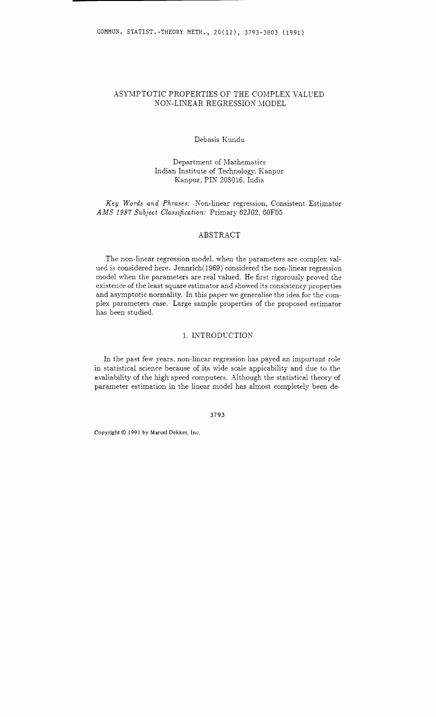## ASYMPTOTIC PROPERTIES OF THE COMPLEX VALUED NOK-LINEAR REGRESSION MODEL

## Debasis Kundu

## Department of Mathematics Indian Institute of Technology, Kanpur Kanpur, PIN 208016, India

## Key Words and Phrases: Non-linear regression, Consistent Estimator AMS 1987 Subject Classification: Primary 62J02, 60F05

## ABSTRACT

The non-linear regression model. when the parameters are complex valued is considered here. Jennrich(l969) considered the non-linear regression model when the parameters are real valued. He first rigorously proved the existence of the least square estimator and showed its consistency properties and asymptotic normality. In this paper we generalise the idea for the complex parameters case. Large sample properties of the proposed estimator has been studied.

## 1. INTRODUCTION

In the past few years, non-linear regression has payed an important role in statistical science because of its wide scale appicability and due to the avaliability of the high speed computers. Although the statistical theory of parameter estimation in the linear model has almost completely been de-

3793

**Copyright** O *199* **1** *by Marcel Dekker, Inc.*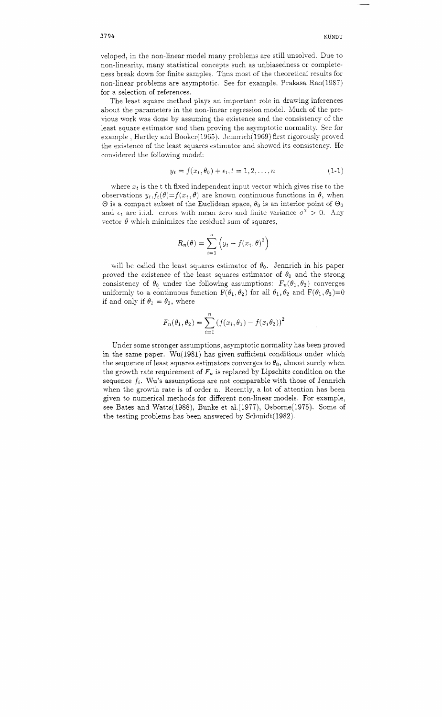veloped, in the non-linear model many problems are still unsolved. Due to non-linearity, many statistical concepts such as unbiasedness or completeness break down for finite samples. Thus most of the theoretical results for non-linear problems are asymptotic. See for example. Prakasa Rao(1987) for a selection of references.

The least square method plays an important role in drawing inferences about the parameters in the non-linear regression model. Much of the previous work was done by assuming the existence and the consistency of the least square estimator and then proving the asymptotic normality. See for example , Hartley and Booker(l965). Jennrich(1969) first rigorously proved the existence of the least squares estimator and showed its consistency. He considered the following model:

$$
y_t = f(x_t, \theta_0) + \epsilon_t, t = 1, 2, \dots, n \tag{1-1}
$$

where  $x_t$  is the t th fixed independent input vector which gives rise to the observations  $y_t$ ,  $f_t(\theta) = f(x_t, \theta)$  are known continuous functions in  $\theta$ , when  $\Theta$  is a compact subset of the Euclidean space,  $\theta_0$  is an interior point of  $\Theta_0$ and  $\epsilon_t$  are i.i.d. errors with mean zero and finite variance  $\sigma^2 > 0$ . Any vector  $\theta$  which minimizes the residual sum of squares,

$$
R_n(\theta) = \sum_{i=1}^n \left( y_i - f(x_i, \theta)^2 \right)
$$

will be called the least squares estimator of  $\theta_0$ . Jennrich in his paper proved the existence of the least squares estimator of  $\theta_0$  and the strong consistency of  $\theta_0$  under the following assumptions:  $F_n(\theta_1, \theta_2)$  converges uniformly to a continuous function  $F(\theta_1, \theta_2)$  for all  $\theta_1, \theta_2$  and  $F(\theta_1, \theta_2)=0$ if and only if  $\theta_1 = \theta_2$ , where

$$
F_n(\theta_1, \theta_2) = \sum_{i=1}^n (f(x_i, \theta_1) - f(x_i \theta_2))^2
$$

Under some stronger assumptions, asymptotic normality has been proved in the same paper. Wu(1981) has given sufficient conditions under which the sequence of least squares estimators converges to  $\theta_0$ , almost surely when the growth rate requirement of  $F_n$  is replaced by Lipschitz condition on the sequence  $f_i$ . Wu's assumptions are not comparable with those of Jennrich when the growth rate is of order n. Recently, a lot of attention has been given to numerical methods for different non-linear models. For example, see Bates and Watts(l988), Bunke et a1.(1977), Osborne(1975). Some of the testing problems has been answered by Schmidt(l982).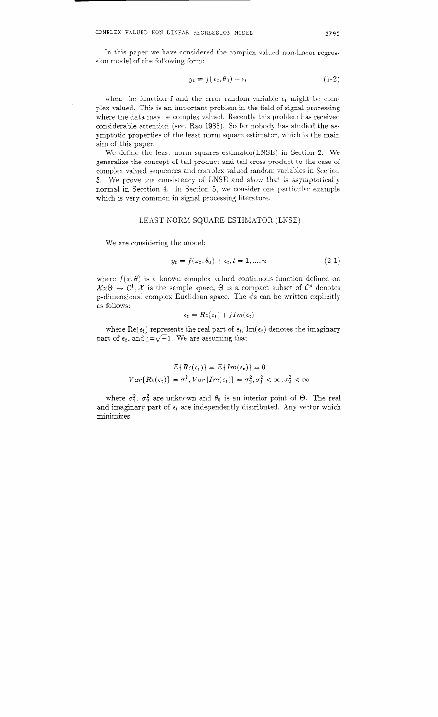In this paper we have considered the complex valued non-linear regression model of the following form:

$$
y_t = f(x_t, \theta_0) + \epsilon_t \tag{1-2}
$$

when the function f and the error random variable  $\epsilon_t$  might be complex valued. This is an important problem in the field of signal processing where the data may be complex valued. Recently this problem has received considerable attention (see, Rao 1988). So far nobody has studied the asymptotic properties of the least norm square estimator, which is the main aim of this paper.

We define the least norm squares estimator(LNSE) in Section 2. We generalize the concept of tail product and tail cross product to the case of complex valued sequences and complex valued random variables in Section **3.** We prove the consistency of LNSE and show that is asymptotically normal in Secction 4. In Section 5, we consider one particular example which is very common in signal processing literature.

## LEAST NORM SQUARE ESTIMATOR (LNSE)

We are considering the model:

$$
y_t = f(x_t, \theta_0) + \epsilon_t, t = 1, ..., n
$$
 (2-1)

where  $f(x, \theta)$  is a known complex valued continuous function defined on  $\mathcal{X} \times \Theta \to \mathcal{C}^1$ , X is the sample space,  $\Theta$  is a compact subset of  $\mathcal{C}^p$  denotes p-dimensional complex Euclidean space. The  $\epsilon$ 's can be written explicitly as follows:

$$
\epsilon_t = Re(\epsilon_t) + jIm(\epsilon_t)
$$

where  $\text{Re}(\epsilon_t)$  represents the real part of  $\epsilon_t$ ,  $\text{Im}(\epsilon_t)$  denotes the imaginary part of  $\epsilon_t$ , and j= $\sqrt{-1}$ . We are assuming that

$$
E\{Re(\epsilon_t)\} = E\{Im(\epsilon_t)\} = 0
$$
  

$$
Var\{Re(\epsilon_t)\} = \sigma_1^2, Var\{Im(\epsilon_t)\} = \sigma_2^2, \sigma_1^2 < \infty, \sigma_2^2 < \infty
$$

where  $\sigma_1^2$ ,  $\sigma_2^2$  are unknown and  $\theta_0$  is an interior point of  $\Theta$ . The real and imaginary part of  $\epsilon_t$  are independently distributed. Any vector which minimizes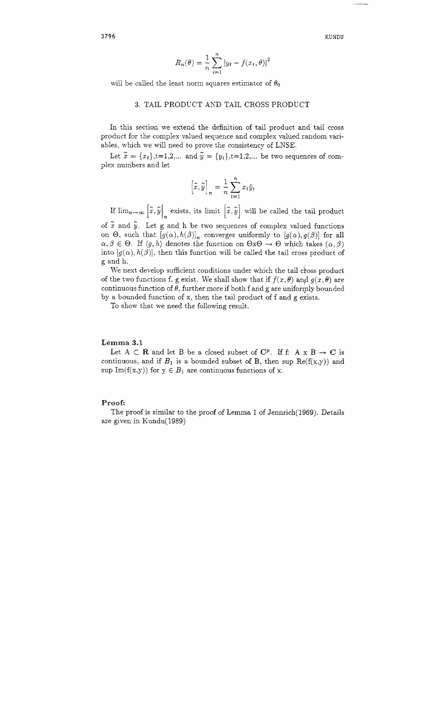**KUNDU** 

$$
R_n(\theta) = \frac{1}{n} \sum_{i=1}^n |y_t - f(x_t, \theta)|^2
$$

will be called the least norm squares estimator of  $\theta_0$ 

## **3.** TAIL PRODUCT AND TAIL CROSS PRODUCT

In this section we extend the definition of tail product and tail cross product for the complex valued sequence and complex valued random variables, which we will need to prove the consistency of LNSE.

Let  $\tilde{x} = \{x_t\}, t=1,2,...$  and  $\tilde{y} = \{y_t\}, t=1,2,...$  be two sequences of complex numbers and let

$$
\left[\tilde{x}, \tilde{y}\right]_n = \frac{1}{n} \sum_{t=1}^n x_t \tilde{y}_t
$$

If  $\lim_{n\to\infty} \left[ \tilde{x}, \tilde{y} \right]_n$  exists, its limit  $\left[ \tilde{x}, \tilde{y} \right]$  will be called the tail product

of  $\tilde{x}$  and  $\tilde{y}$ . Let g and h be two sequences of complex valued functions on  $\Theta$ , such that  $[g(\alpha), h(\beta)]_n$  converges uniformly to  $[g(\alpha), g(\beta)]$  for all  $\alpha, \beta \in \Theta$ . If  $\langle g, h \rangle$  denotes the function on  $\Theta x \Theta \rightarrow \Theta$  which takes  $(\alpha, \beta)$ into  $[g(\alpha), h(\beta)]$ , then this function will be called the tail cross product of g and h.

We next develop sufficient conditions under which the tail cross product of the two functions f, g exist. We shall show that if  $f(x, \theta)$  and  $g(x, \theta)$  are continuous function of  $\theta$ , further more if both f and g are uniformly bounded by a bounded function of x, then the tail product of f and g exists.

To show that we need the following result.

#### **Lemma 3.1**

Let  $A \subset \mathbf{R}$  and let  $B$  be a closed subset of  $\mathbf{C}^p$ . If f:  $A \times B \to \mathbf{C}$  is continuous, and if  $B_1$  is a bounded subset of B, then sup  $Re(f(x,y))$  and sup  $Im(f(x,y))$  for  $y \in B_1$  are continuous functions of x.

#### **Proof:**

The proof is similar to the proof of Lemma 1 of Jennrich(1969). Details are given in Kundu(1989)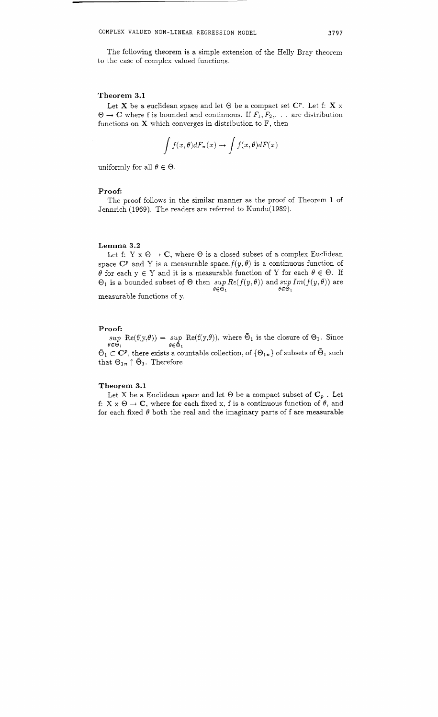The following theorem is a simple extension of the Helly Bray theorem to the case of complex valued functions.

## **Theorem 3.1**

Let **X** be a euclidean space and let  $\Theta$  be a compact set  $C^p$ . Let f: **X** x  $\Theta \rightarrow \mathbf{C}$  where f is bounded and continuous. If  $F_1, F_2, \dots$  are distribution functions on  $X$  which converges in distribution to  $F$ , then

$$
\int f(x,\theta)dF_n(x) \to \int f(x,\theta)dF(x)
$$

uniformly for all  $\theta \in \Theta$ .

#### **Proof:**

The proof follows in the similar manner as the proof of Theorem 1 of Jennrich (1969). The readers are referred to Kundu(1989).

#### **Lemma 3.2**

Let f: Y  $x \theta \rightarrow C$ , where  $\theta$  is a closed subset of a complex Euclidean space  $\mathbb{C}^p$  and Y is a measurable space.  $f(y, \theta)$  is a continuous function of  $\theta$  for each  $y \in Y$  and it is a measurable function of Y for each  $\theta \in \Theta$ . If  $\Theta_1$  is a bounded subset of  $\Theta$  then  $\sup_{\theta \in \Theta_1}$   $Re(f(y, \theta))$  and  $\sup_{\theta \in \Theta_1} Im(f(y, \theta))$  are  $\theta \in \mathring{\Theta}_1$ 

measurable functions of y.

#### **Proof:**

 $\sup_{\theta \in \Theta_1} \text{Re}(f(y,\theta)) = \sup_{\theta \in \Theta_1} \text{Re}(f(y,\theta)),$  where  $\overline{\Theta}_1$  is the closure of  $\Theta_1$ . Since  $\theta \in \tilde{\Theta}_1$ 

 $\tilde{\Theta}_1 \subset \mathbb{C}^p$ , there exists a countable collection, of  $\{\Theta_{1n}\}$  of subsets of  $\tilde{\Theta}_1$  such that  $\Theta_{1n} \uparrow \tilde{\Theta}_1$ . Therefore

#### **Theorem 3.1**

Let X be a Euclidean space and let  $\Theta$  be a compact subset of  $C_p$ . Let f: X  $x \Theta \rightarrow C$ , where for each fixed x, f is a continuous function of  $\theta$ , and for each fixed  $\theta$  both the real and the imaginary parts of f are measurable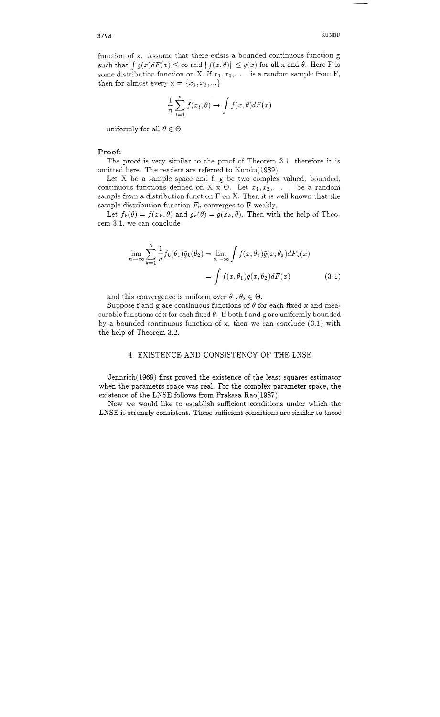function of x. Assume that there exists a bounded continuous function g such that  $\int g(x)dF(x) \leq \infty$  and  $||f(x,\theta)|| \leq g(x)$  for all x and  $\theta$ . Here F is some distribution function on X. If  $x_1, x_2, \ldots$  is a random sample from F, then for almost every  $x = \{x_1, x_2, ...\}$ 

$$
\frac{1}{n}\sum_{t=1}^{n}f(x_t,\theta) \to \int f(x,\theta)dF(x)
$$

uniformly for all  $\theta \in \Theta$ 

## **Proof:**

The proof is very similar to the proof of Theorem 3.1, therefore it is omitted here. The readers are referred to Kundu(1989).

Let  $X$  be a sample space and  $f$ ,  $g$  be two complex valued, bounded, continuous functions defined on X x  $\Theta$ . Let  $x_1, x_2, \ldots$  be a random sample from a distribution function F on X. Then it is well known that the sample distribution function  $F_n$  converges to F weakly.

Let  $f_k(\theta) = f(x_k, \theta)$  and  $g_k(\theta) = g(x_k, \theta)$ . Then with the help of Theorem 3.1, we can conclude

$$
\lim_{n \to \infty} \sum_{k=1}^{n} \frac{1}{n} f_k(\theta_1) \bar{g}_k(\theta_2) = \lim_{n \to \infty} \int f(x, \theta_1) \bar{g}(x, \theta_2) dF_n(x)
$$

$$
= \int f(x, \theta_1) \bar{g}(x, \theta_2) dF(x) \tag{3-1}
$$

and this convergence is uniform over  $\theta_1, \theta_2 \in \Theta$ .

Suppose f and g are continuous functions of  $\theta$  for each fixed x and measurable functions of x for each fixed  $\theta$ . If both f and g are uniformly bounded by a bounded continuous function of x, then we can conclude  $(3.1)$  with the help of Theorem 3.2.

## 4. EXISTENCE AND CONSISTENCY OF THE LNSE

Jennrich(1969) first proved the existence of the least squares estimator when the pararnetrs space was real. For the complex parameter space, the existence of the LNSE follows from Prakasa Rao(1987).

Now we would like to establish sufficient conditions under which the LNSE is strongly consistent. These sufficient conditions are similar to those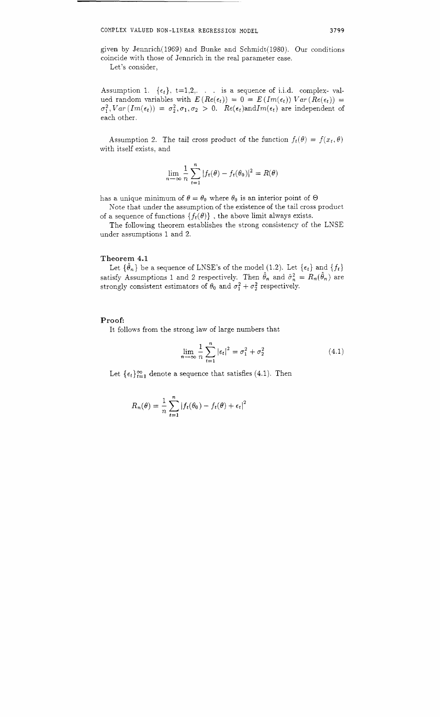given by Jennrich(l969) and Bunke and Schmidt(l980). Our conditions coincide with those of Jennrich in the real parameter case. Let's consider,

Assumption 1.  $\{\epsilon_t\}$ ,  $t=1,2,...$  is a sequence of i.i.d. complex-valued random variables with  $E(Re(\epsilon_t)) = 0 = E(Im(\epsilon_t)) Var(Re(\epsilon_t)) = 0$  $\sigma_1^2$ ,  $Var(Im(\epsilon_t)) = \sigma_2^2$ ,  $\sigma_1$ ,  $\sigma_2 > 0$ .  $Re(\epsilon_t)$  and  $Im(\epsilon_t)$  are independent of each other.

Assumption 2. The tail cross product of the function  $f_t(\theta) = f(x_t, \theta)$ with itself exists, and

$$
\lim_{n \to \infty} \frac{1}{n} \sum_{t=1}^{n} |f_t(\theta) - f_t(\theta_0)|^2 = R(\theta)
$$

has a unique minimum of  $\theta = \theta_0$  where  $\theta_0$  is an interior point of  $\Theta$ 

Note that under the assumption of the existence of the tail cross product of a sequence of functions  $\{f_t(\theta)\}\,$ , the above limit always exists.

The following theorem establishes the strong consistency of the LNSE under assumptions 1 and 2.

#### **Theorem 4.1**

Let  $\{\hat{\theta}_n\}$  be a sequence of LNSE's of the model (1.2). Let  $\{\epsilon_t\}$  and  $\{f_t\}$ satisfy Assumptions 1 and 2 respectively. Then  $\hat{\theta}_n$  and  $\hat{\sigma}_n^2 = R_n(\hat{\theta}_n)$  are strongly consistent estimators of  $\theta_0$  and  $\sigma_1^2 + \sigma_2^2$  respectively.

#### **Proof:**

It follows from the strong law of large numbers that

$$
\lim_{n \to \infty} \frac{1}{n} \sum_{t=1}^{n} |\epsilon_t|^2 = \sigma_1^2 + \sigma_2^2 \tag{4.1}
$$

Let  $\{\epsilon_t\}_{t=1}^{\infty}$  denote a sequence that satisfies (4.1). Then

$$
R_n(\theta) = \frac{1}{n} \sum_{t=1}^n |f_t(\theta_0) - f_t(\theta) + \epsilon_t|^2
$$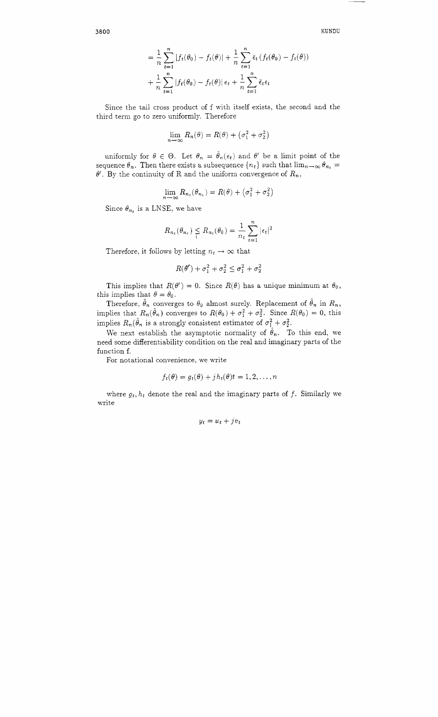**KUNDU** 

$$
= \frac{1}{n} \sum_{t=1}^{n} |f_t(\theta_0) - f_t(\theta)| + \frac{1}{n} \sum_{t=1}^{n} \bar{\epsilon}_t (f_t(\theta_0) - f_t(\theta))
$$
  
+ 
$$
\frac{1}{n} \sum_{t=1}^{n} |f_t(\theta_0) - f_t(\theta)| \epsilon_t + \frac{1}{n} \sum_{t=1}^{n} \bar{\epsilon}_t \epsilon_t
$$

Since the tail cross product of f with itself exists, the second and the third term go to zero uniformly. Therefore

$$
\lim_{n \to \infty} R_n(\theta) = R(\theta) + (\sigma_1^2 + \sigma_2^2)
$$

uniformly for  $\theta \in \Theta$ . Let  $\theta_n = \hat{\theta}_n(\epsilon_t)$  and  $\theta'$  be a limit point of the sequence  $\theta_n$ . Then there exists a subsequence  $\{n_t\}$  such that  $\lim_{n\to\infty}\theta_{n_t} =$  $\theta'$ . By the continuity of R and the uniform convergence of  $R_n$ ,

$$
\lim_{n \to \infty} R_{n_t}(\theta_{n_t}) = R(\theta) + (\sigma_1^2 + \sigma_2^2)
$$

Since  $\theta_{n_t}$  is a LNSE, we have

$$
R_{n_t}(\theta_{n_t}) \leq R_{n_t}(\theta_0) = \frac{1}{n_t} \sum_{t=1}^n |\epsilon_t|^2
$$

Therefore, it follows by letting  $n_t \rightarrow \infty$  that

$$
R(\theta')+ \sigma_1^2 + \sigma_2^2 \leq \sigma_1^2 + \sigma_2^2
$$

This implies that  $R(\theta') = 0$ . Since  $R(\theta)$  has a unique minimum at  $\theta_0$ , this implies that  $\theta = \theta_0$ .

Therefore,  $\hat{\theta}_n$  converges to  $\theta_0$  almost surely. Replacement of  $\hat{\theta}_n$  in  $R_n$ , implies that  $R_n(\hat{\theta}_n)$  converges to  $R(\theta_0) + \sigma_1^2 + \sigma_2^2$ . Since  $R(\theta_0) = 0$ , this implies  $R_n(\hat{\theta}_n)$  is a strongly consistent estimator of  $\sigma_1^2 + \sigma_2^2$ .

We next establish the asymptotic normality of  $\hat{\theta}_n$ . To this end, we need some differentiability condition on the real and imaginary parts of the function f.

For notational convenience, we write

$$
f_t(\theta) = g_t(\theta) + j h_t(\theta) t = 1, 2, \ldots, n
$$

where  $g_t$ ,  $h_t$  denote the real and the imaginary parts of f. Similarly we write

$$
y_t = u_t + j v_t
$$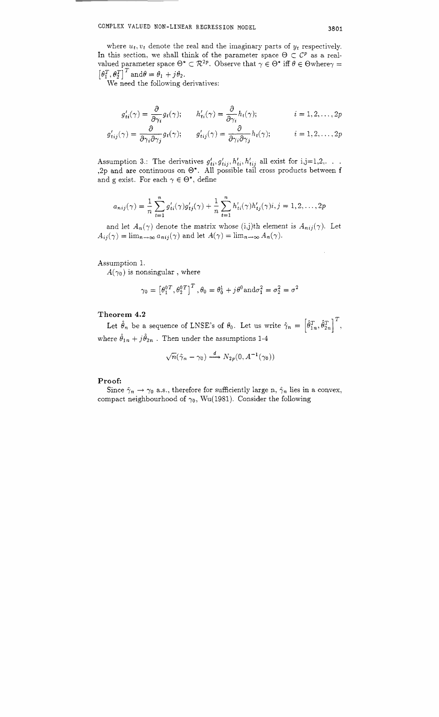where  $u_t, v_t$  denote the real and the imaginary parts of  $y_t$  respectively. In this section, we shall think of the parameter space  $\Theta \subset C^p$  as a realvalued parameter space  $\Theta^* \subset \mathcal{R}^{2p}$ . Observe that  $\gamma \in \Theta^*$  iff  $\theta \in \Theta$ where $\gamma =$  $\left[\theta_1^T, \theta_2^T\right]^T$  and  $\theta = \theta_1 + j\theta_2$ .

We need the following derivatives:

$$
g'_{ti}(\gamma) = \frac{\partial}{\partial \gamma_i} g_t(\gamma); \qquad h'_{ti}(\gamma) = \frac{\partial}{\partial \gamma_i} h_t(\gamma); \qquad i = 1, 2, ..., 2p
$$
  

$$
g'_{tij}(\gamma) = \frac{\partial}{\partial \gamma_i} g_t(\gamma); \qquad g'_{tij}(\gamma) = \frac{\partial}{\partial \gamma_i} h_t(\gamma); \qquad i = 1, 2, ..., 2p
$$

Assumption 3.: The derivatives  $g'_{ti}, g'_{tij}, h'_{tij}, h'_{tij}$  all exist for i,j=1,2,.. , 2p and are continuous on  $\Theta^*$ . All possible tail cross products between and g exist. For each  $\gamma \in \Theta^*$ , define

$$
a_{nij}(\gamma) = \frac{1}{n} \sum_{t=1}^{n} g'_{ti}(\gamma) g'_{tj}(\gamma) + \frac{1}{n} \sum_{t=1}^{n} h'_{ti}(\gamma) h'_{tj}(\gamma) i, j = 1, 2, \dots, 2p
$$

and let  $A_n(\gamma)$  denote the matrix whose (i,j)th element is  $A_{nij}(\gamma)$ . Let  $A_{ij}(\gamma) = \lim_{n \to \infty} a_{nij}(\gamma)$  and let  $A(\gamma) = \lim_{n \to \infty} A_n(\gamma)$ .

#### Assumption 1.

 $A(\gamma_0)$  is nonsingular, where

$$
\gamma_0 = \left[\theta_1^{0T}, \theta_2^{0T}\right]^T, \theta_0 = \theta_0^1 + j\theta^0 \text{and} \sigma_1^2 = \sigma_2^2 = \sigma^2
$$

## **Theorem 4.2**

Let  $\hat{\theta}_n$  be a sequence of LNSE's of  $\theta_0$ . Let us write  $\hat{\gamma}_n = \left[\hat{\theta}_{1n}^T, \hat{\theta}_{2n}^T\right]^T$ , where  $\hat{\theta}_{1n} + j\hat{\theta}_{2n}$ . Then under the assumptions 1-4

$$
\sqrt{n}(\hat{\gamma}_n - \gamma_0) \stackrel{d}{\longrightarrow} N_{2p}(0, A^{-1}(\gamma_0))
$$

#### **Proof:**

Since  $\hat{\gamma}_n \to \gamma_0$  a.s., therefore for sufficiently large n,  $\hat{\gamma}_n$  lies in a convex, compact neighbourhood of  $\gamma_0$ , Wu(1981). Consider the following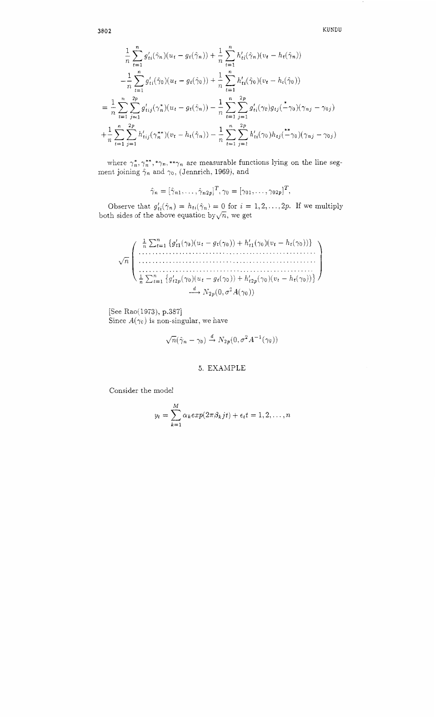**3802 KUNDU** 

$$
\frac{1}{n} \sum_{t=1}^{n} g'_{ti}(\hat{\gamma}_n)(u_t - g_t(\hat{\gamma}_n)) + \frac{1}{n} \sum_{t=1}^{n} h'_{ti}(\hat{\gamma}_n)(v_t - h_t(\hat{\gamma}_n))
$$
\n
$$
- \frac{1}{n} \sum_{t=1}^{n} g'_{ti}(\hat{\gamma}_0)(u_t - g_t(\hat{\gamma}_0)) + \frac{1}{n} \sum_{t=1}^{n} h'_{ti}(\hat{\gamma}_0)(v_t - h_t(\hat{\gamma}_0))
$$
\n
$$
= \frac{1}{n} \sum_{t=1}^{n} \sum_{j=1}^{2p} g'_{tij}(\gamma_n^*)(u_t - g_t(\hat{\gamma}_n)) - \frac{1}{n} \sum_{t=1}^{n} \sum_{j=1}^{2p} g'_{ti}(\gamma_0)g_{tj}(-\gamma_0)(\gamma_{nj} - \gamma_{0j})
$$
\n
$$
+ \frac{1}{n} \sum_{t=1}^{n} \sum_{j=1}^{2p} h'_{tij}(\gamma_n^{**})(v_t - h_t(\hat{\gamma}_n)) - \frac{1}{n} \sum_{t=1}^{n} \sum_{j=1}^{2p} h'_{ti}(\gamma_0)h_{tj}(-\gamma_0)(\gamma_{nj} - \gamma_{0j})
$$

where  $\gamma_n^*, \gamma_n^{*,*} \gamma_n^{*,*} \gamma_n$  are measurable functions lying on the line segment joining  $\hat{\gamma}_n$  and  $\gamma_0$ , (Jennrich, 1969), and

$$
\hat{\gamma}_n = [\hat{\gamma}_{n1}, \dots, \hat{\gamma}_{n2p}]^T, \gamma_0 = [\gamma_{01}, \dots, \gamma_{02p}]^T
$$

Observe that  $g'_{ti}(\hat{\gamma}_n) = h_{ti}(\hat{\gamma}_n) = 0$  for  $i = 1, 2, ..., 2p$ . If we multiply both sides of the above equation by  $\sqrt{n}$ , we get

$$
\sqrt{n}\left(\begin{array}{c}\frac{1}{n}\sum_{t=1}^{n}\left\{g'_{t1}(\gamma_{0})(u_{t}-g_{t}(\gamma_{0}))+h'_{t1}(\gamma_{0})(v_{t}-h_{t}(\gamma_{0}))\right\}\\\dots\\\dots\\\dots\\\frac{1}{n}\sum_{t=1}^{n}\left\{g'_{t2p}(\gamma_{0})(u_{t}-g_{t}(\gamma_{0}))+h'_{t2p}(\gamma_{0})(v_{t}-h_{t}(\gamma_{0}))\right\}\\\frac{d}{n}\sum_{t=1}^{n}\left\{g'_{t2p}(\gamma_{0})(u_{t}-g_{t}(\gamma_{0}))+h'_{t2p}(\gamma_{0})(v_{t}-h_{t}(\gamma_{0}))\right\}\end{array}\right)
$$

 $[See Rao(1973), p.387]$ Since  $A(\gamma_0)$  is non-singular, we have

$$
\sqrt{n}(\hat{\gamma}_n - \gamma_0) \stackrel{d}{\rightarrow} N_{2p}(0, \sigma^2 A^{-1}(\gamma_0))
$$

## *5.* EXAMPLE

Consider the model

$$
y_t = \sum_{k=1}^{M} \alpha_k exp(2\pi \beta_k j t) + \epsilon_t t = 1, 2, ..., n
$$